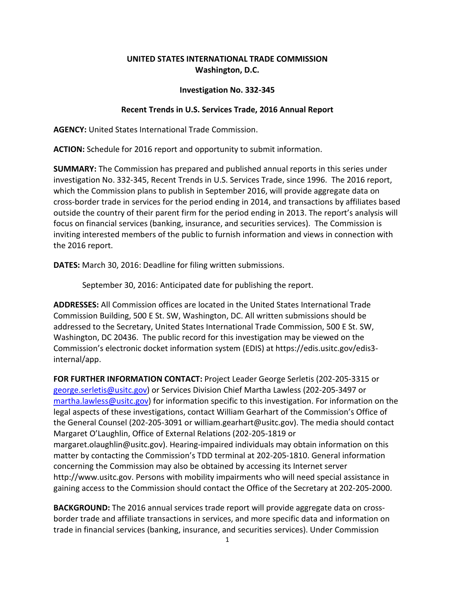## **UNITED STATES INTERNATIONAL TRADE COMMISSION Washington, D.C.**

## **Investigation No. 332-345**

## **Recent Trends in U.S. Services Trade, 2016 Annual Report**

**AGENCY:** United States International Trade Commission.

**ACTION:** Schedule for 2016 report and opportunity to submit information.

**SUMMARY:** The Commission has prepared and published annual reports in this series under investigation No. 332-345, Recent Trends in U.S. Services Trade, since 1996. The 2016 report, which the Commission plans to publish in September 2016, will provide aggregate data on cross-border trade in services for the period ending in 2014, and transactions by affiliates based outside the country of their parent firm for the period ending in 2013. The report's analysis will focus on financial services (banking, insurance, and securities services). The Commission is inviting interested members of the public to furnish information and views in connection with the 2016 report.

**DATES:** March 30, 2016: Deadline for filing written submissions.

September 30, 2016: Anticipated date for publishing the report.

**ADDRESSES:** All Commission offices are located in the United States International Trade Commission Building, 500 E St. SW, Washington, DC. All written submissions should be addressed to the Secretary, United States International Trade Commission, 500 E St. SW, Washington, DC 20436. The public record for this investigation may be viewed on the Commission's electronic docket information system (EDIS) at [https://edis.usitc.gov/edis3](https://edis.usitc.gov/edis3-internal/app) [internal/app.](https://edis.usitc.gov/edis3-internal/app)

**FOR FURTHER INFORMATION CONTACT:** Project Leader George Serletis (202-205-3315 or [george.serletis@usitc.gov\)](mailto:george.serletis@usitc.gov) or Services Division Chief Martha Lawless (202-205-3497 or [martha.lawless@usitc.gov\)](mailto:martha.lawless@usitc.gov) for information specific to this investigation. For information on the legal aspects of these investigations, contact William Gearhart of the Commission's Office of the General Counsel (202-205-3091 or [william.gearhart@usitc.gov\)](mailto:william.gearhart@usitc.gov). The media should contact Margaret O'Laughlin, Office of External Relations (202-205-1819 or [margaret.olaughlin@usitc.gov\)](mailto:margaret.olaughlin@usitc.gov). Hearing-impaired individuals may obtain information on this matter by contacting the Commission's TDD terminal at 202-205-1810. General information concerning the Commission may also be obtained by accessing its Internet server [http://www.usitc.gov.](http://www.usitc.gov/) Persons with mobility impairments who will need special assistance in gaining access to the Commission should contact the Office of the Secretary at 202-205-2000.

**BACKGROUND:** The 2016 annual services trade report will provide aggregate data on crossborder trade and affiliate transactions in services, and more specific data and information on trade in financial services (banking, insurance, and securities services). Under Commission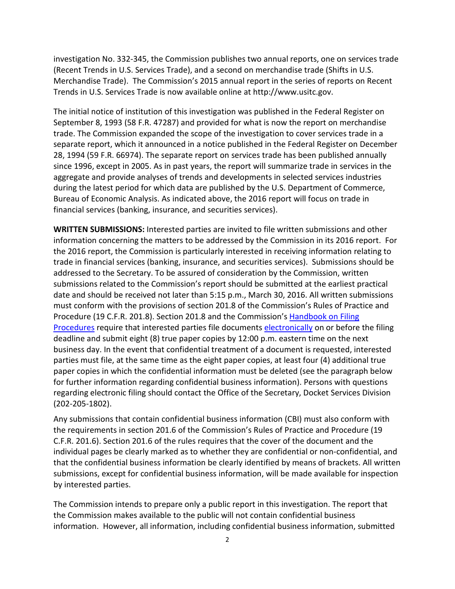investigation No. 332-345, the Commission publishes two annual reports, one on services trade (Recent Trends in U.S. Services Trade), and a second on merchandise trade (Shifts in U.S. Merchandise Trade). The Commission's 2015 annual report in the series of reports on Recent Trends in U.S. Services Trade is now available online at [http://www.usitc.gov.](http://www.usitc.gov/)

The initial notice of institution of this investigation was published in the Federal Register on September 8, 1993 (58 F.R. 47287) and provided for what is now the report on merchandise trade. The Commission expanded the scope of the investigation to cover services trade in a separate report, which it announced in a notice published in the Federal Register on December 28, 1994 (59 F.R. 66974). The separate report on services trade has been published annually since 1996, except in 2005. As in past years, the report will summarize trade in services in the aggregate and provide analyses of trends and developments in selected services industries during the latest period for which data are published by the U.S. Department of Commerce, Bureau of Economic Analysis. As indicated above, the 2016 report will focus on trade in financial services (banking, insurance, and securities services).

**WRITTEN SUBMISSIONS:** Interested parties are invited to file written submissions and other information concerning the matters to be addressed by the Commission in its 2016 report. For the 2016 report, the Commission is particularly interested in receiving information relating to trade in financial services (banking, insurance, and securities services). Submissions should be addressed to the Secretary. To be assured of consideration by the Commission, written submissions related to the Commission's report should be submitted at the earliest practical date and should be received not later than 5:15 p.m., March 30, 2016. All written submissions must conform with the provisions of section 201.8 of the Commission's Rules of Practice and Procedure (19 C.F.R. 201.8). Section 201.8 and the Commission's [Handbook on Filing](http://www.usitc.gov/secretary/documents/handbook_on_filing_procedures.pdf)  [Procedures](http://www.usitc.gov/secretary/documents/handbook_on_filing_procedures.pdf) require that interested parties file document[s electronically](https://edis.usitc.gov/) on or before the filing deadline and submit eight (8) true paper copies by 12:00 p.m. eastern time on the next business day. In the event that confidential treatment of a document is requested, interested parties must file, at the same time as the eight paper copies, at least four (4) additional true paper copies in which the confidential information must be deleted (see the paragraph below for further information regarding confidential business information). Persons with questions regarding electronic filing should contact the Office of the Secretary, Docket Services Division (202-205-1802).

Any submissions that contain confidential business information (CBI) must also conform with the requirements in section 201.6 of the Commission's Rules of Practice and Procedure (19 C.F.R. 201.6). Section 201.6 of the rules requires that the cover of the document and the individual pages be clearly marked as to whether they are confidential or non-confidential, and that the confidential business information be clearly identified by means of brackets. All written submissions, except for confidential business information, will be made available for inspection by interested parties.

The Commission intends to prepare only a public report in this investigation. The report that the Commission makes available to the public will not contain confidential business information. However, all information, including confidential business information, submitted